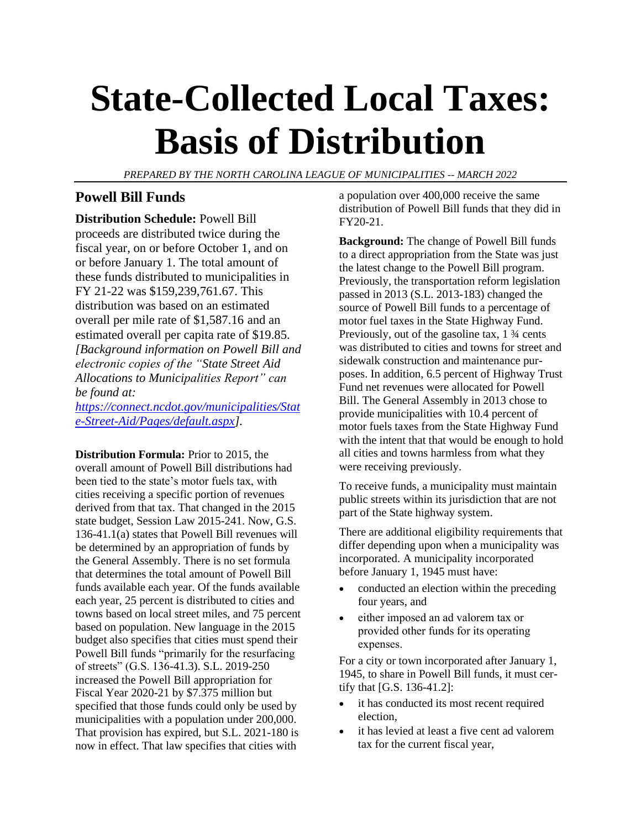# **State-Collected Local Taxes: Basis of Distribution**

*PREPARED BY THE NORTH CAROLINA LEAGUE OF MUNICIPALITIES -- MARCH 2022*

## **Powell Bill Funds**

**Distribution Schedule:** Powell Bill proceeds are distributed twice during the fiscal year, on or before October 1, and on or before January 1. The total amount of these funds distributed to municipalities in FY 21-22 was \$159,239,761.67. This distribution was based on an estimated overall per mile rate of \$1,587.16 and an estimated overall per capita rate of \$19.85. *[Background information on Powell Bill and electronic copies of the "State Street Aid Allocations to Municipalities Report" can be found at:*

*[https://connect.ncdot.gov/municipalities/Stat](https://connect.ncdot.gov/municipalities/State-Street-Aid/Pages/default.aspx) [e-Street-Aid/Pages/default.aspx\]](https://connect.ncdot.gov/municipalities/State-Street-Aid/Pages/default.aspx).*

**Distribution Formula:** Prior to 2015, the overall amount of Powell Bill distributions had been tied to the state's motor fuels tax, with cities receiving a specific portion of revenues derived from that tax. That changed in the 2015 state budget, Session Law 2015-241. Now, G.S. 136-41.1(a) states that Powell Bill revenues will be determined by an appropriation of funds by the General Assembly. There is no set formula that determines the total amount of Powell Bill funds available each year. Of the funds available each year, 25 percent is distributed to cities and towns based on local street miles, and 75 percent based on population. New language in the 2015 budget also specifies that cities must spend their Powell Bill funds "primarily for the resurfacing of streets" (G.S. 136-41.3). S.L. 2019-250 increased the Powell Bill appropriation for Fiscal Year 2020-21 by \$7.375 million but specified that those funds could only be used by municipalities with a population under 200,000. That provision has expired, but S.L. 2021-180 is now in effect. That law specifies that cities with

a population over 400,000 receive the same distribution of Powell Bill funds that they did in FY20-21.

**Background:** The change of Powell Bill funds to a direct appropriation from the State was just the latest change to the Powell Bill program. Previously, the transportation reform legislation passed in 2013 (S.L. 2013-183) changed the source of Powell Bill funds to a percentage of motor fuel taxes in the State Highway Fund. Previously, out of the gasoline tax, 1 ¾ cents was distributed to cities and towns for street and sidewalk construction and maintenance purposes. In addition, 6.5 percent of Highway Trust Fund net revenues were allocated for Powell Bill. The General Assembly in 2013 chose to provide municipalities with 10.4 percent of motor fuels taxes from the State Highway Fund with the intent that that would be enough to hold all cities and towns harmless from what they were receiving previously.

To receive funds, a municipality must maintain public streets within its jurisdiction that are not part of the State highway system.

There are additional eligibility requirements that differ depending upon when a municipality was incorporated. A municipality incorporated before January 1, 1945 must have:

- conducted an election within the preceding four years, and
- either imposed an ad valorem tax or provided other funds for its operating expenses.

For a city or town incorporated after January 1, 1945, to share in Powell Bill funds, it must certify that [G.S. 136-41.2]:

- it has conducted its most recent required election,
- it has levied at least a five cent ad valorem tax for the current fiscal year,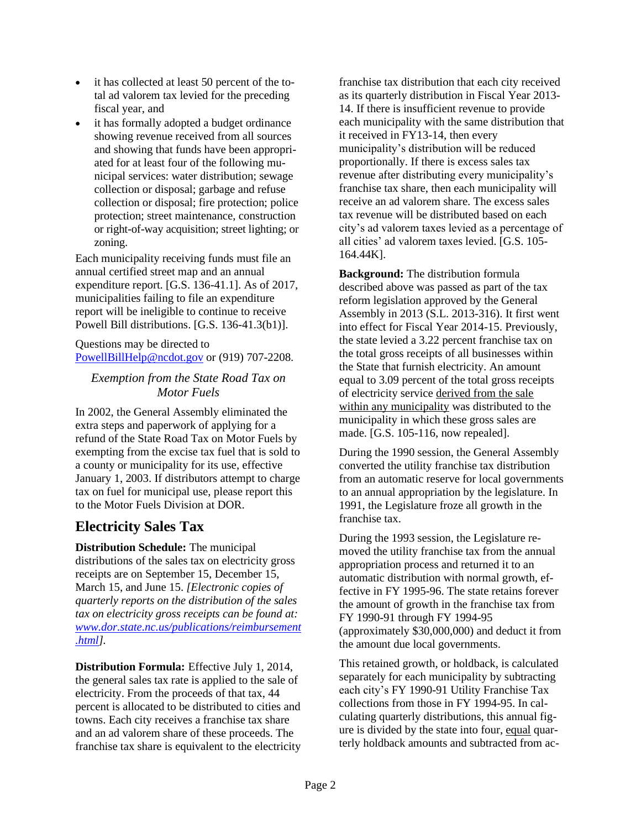- it has collected at least 50 percent of the total ad valorem tax levied for the preceding fiscal year, and
- it has formally adopted a budget ordinance showing revenue received from all sources and showing that funds have been appropriated for at least four of the following municipal services: water distribution; sewage collection or disposal; garbage and refuse collection or disposal; fire protection; police protection; street maintenance, construction or right-of-way acquisition; street lighting; or zoning.

Each municipality receiving funds must file an annual certified street map and an annual expenditure report. [G.S. 136-41.1]. As of 2017, municipalities failing to file an expenditure report will be ineligible to continue to receive Powell Bill distributions. [G.S. 136-41.3(b1)].

Questions may be directed to [PowellBillHelp@ncdot.gov](mailto:PowellBillHelp@ncdot.gov) or (919) 707-2208.

#### *Exemption from the State Road Tax on Motor Fuels*

In 2002, the General Assembly eliminated the extra steps and paperwork of applying for a refund of the State Road Tax on Motor Fuels by exempting from the excise tax fuel that is sold to a county or municipality for its use, effective January 1, 2003. If distributors attempt to charge tax on fuel for municipal use, please report this to the Motor Fuels Division at DOR.

## **Electricity Sales Tax**

**Distribution Schedule:** The municipal distributions of the sales tax on electricity gross receipts are on September 15, December 15, March 15, and June 15. *[Electronic copies of quarterly reports on the distribution of the sales tax on electricity gross receipts can be found at: [www.dor.state.nc.us/publications/reimbursement](http://www.dor.state.nc.us/publications/reimbursement.html) [.html\]](http://www.dor.state.nc.us/publications/reimbursement.html).*

**Distribution Formula:** Effective July 1, 2014, the general sales tax rate is applied to the sale of electricity. From the proceeds of that tax, 44 percent is allocated to be distributed to cities and towns. Each city receives a franchise tax share and an ad valorem share of these proceeds. The franchise tax share is equivalent to the electricity franchise tax distribution that each city received as its quarterly distribution in Fiscal Year 2013- 14. If there is insufficient revenue to provide each municipality with the same distribution that it received in FY13-14, then every municipality's distribution will be reduced proportionally. If there is excess sales tax revenue after distributing every municipality's franchise tax share, then each municipality will receive an ad valorem share. The excess sales tax revenue will be distributed based on each city's ad valorem taxes levied as a percentage of all cities' ad valorem taxes levied. [G.S. 105- 164.44K].

**Background:** The distribution formula described above was passed as part of the tax reform legislation approved by the General Assembly in 2013 (S.L. 2013-316). It first went into effect for Fiscal Year 2014-15. Previously, the state levied a 3.22 percent franchise tax on the total gross receipts of all businesses within the State that furnish electricity. An amount equal to 3.09 percent of the total gross receipts of electricity service derived from the sale within any municipality was distributed to the municipality in which these gross sales are made. [G.S. 105-116, now repealed].

During the 1990 session, the General Assembly converted the utility franchise tax distribution from an automatic reserve for local governments to an annual appropriation by the legislature. In 1991, the Legislature froze all growth in the franchise tax.

During the 1993 session, the Legislature removed the utility franchise tax from the annual appropriation process and returned it to an automatic distribution with normal growth, effective in FY 1995-96. The state retains forever the amount of growth in the franchise tax from FY 1990-91 through FY 1994-95 (approximately \$30,000,000) and deduct it from the amount due local governments.

This retained growth, or holdback, is calculated separately for each municipality by subtracting each city's FY 1990-91 Utility Franchise Tax collections from those in FY 1994-95. In calculating quarterly distributions, this annual figure is divided by the state into four, equal quarterly holdback amounts and subtracted from ac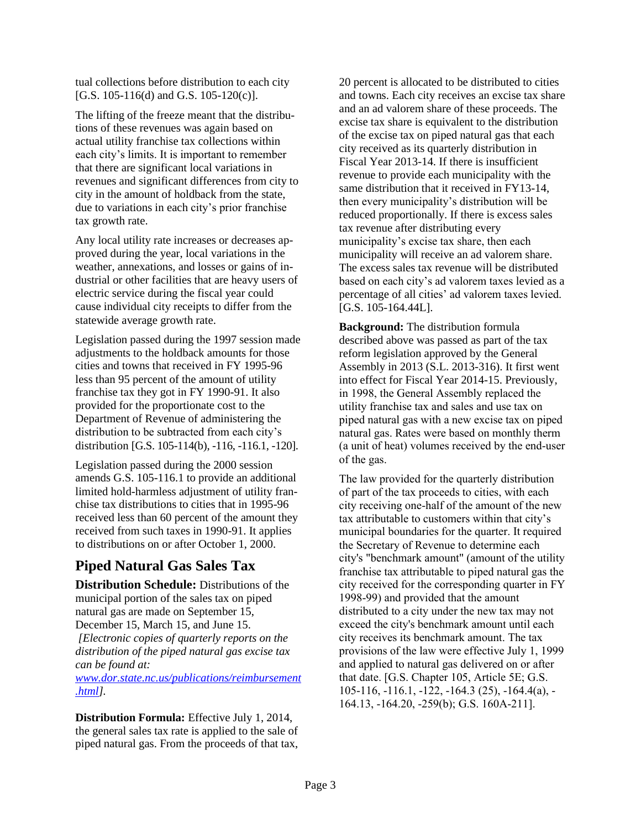tual collections before distribution to each city [G.S. 105-116(d) and G.S. 105-120(c)].

The lifting of the freeze meant that the distributions of these revenues was again based on actual utility franchise tax collections within each city's limits. It is important to remember that there are significant local variations in revenues and significant differences from city to city in the amount of holdback from the state, due to variations in each city's prior franchise tax growth rate.

Any local utility rate increases or decreases approved during the year, local variations in the weather, annexations, and losses or gains of industrial or other facilities that are heavy users of electric service during the fiscal year could cause individual city receipts to differ from the statewide average growth rate.

Legislation passed during the 1997 session made adjustments to the holdback amounts for those cities and towns that received in FY 1995-96 less than 95 percent of the amount of utility franchise tax they got in FY 1990-91. It also provided for the proportionate cost to the Department of Revenue of administering the distribution to be subtracted from each city's distribution [G.S. 105-114(b), -116, -116.1, -120].

Legislation passed during the 2000 session amends G.S. 105-116.1 to provide an additional limited hold-harmless adjustment of utility franchise tax distributions to cities that in 1995-96 received less than 60 percent of the amount they received from such taxes in 1990-91. It applies to distributions on or after October 1, 2000.

# **Piped Natural Gas Sales Tax**

**Distribution Schedule:** Distributions of the municipal portion of the sales tax on piped natural gas are made on September 15, December 15, March 15, and June 15. *[Electronic copies of quarterly reports on the distribution of the piped natural gas excise tax can be found at: [www.dor.state.nc.us/publications/reimbursement](http://www.dor.state.nc.us/publications/reimbursement.html) [.html\]](http://www.dor.state.nc.us/publications/reimbursement.html).*

**Distribution Formula:** Effective July 1, 2014, the general sales tax rate is applied to the sale of piped natural gas. From the proceeds of that tax,

20 percent is allocated to be distributed to cities and towns. Each city receives an excise tax share and an ad valorem share of these proceeds. The excise tax share is equivalent to the distribution of the excise tax on piped natural gas that each city received as its quarterly distribution in Fiscal Year 2013-14. If there is insufficient revenue to provide each municipality with the same distribution that it received in FY13-14, then every municipality's distribution will be reduced proportionally. If there is excess sales tax revenue after distributing every municipality's excise tax share, then each municipality will receive an ad valorem share. The excess sales tax revenue will be distributed based on each city's ad valorem taxes levied as a percentage of all cities' ad valorem taxes levied.  $[G.S. 105-164.44L]$ .

**Background:** The distribution formula described above was passed as part of the tax reform legislation approved by the General Assembly in 2013 (S.L. 2013-316). It first went into effect for Fiscal Year 2014-15. Previously, in 1998, the General Assembly replaced the utility franchise tax and sales and use tax on piped natural gas with a new excise tax on piped natural gas. Rates were based on monthly therm (a unit of heat) volumes received by the end-user of the gas.

The law provided for the quarterly distribution of part of the tax proceeds to cities, with each city receiving one-half of the amount of the new tax attributable to customers within that city's municipal boundaries for the quarter. It required the Secretary of Revenue to determine each city's "benchmark amount" (amount of the utility franchise tax attributable to piped natural gas the city received for the corresponding quarter in FY 1998-99) and provided that the amount distributed to a city under the new tax may not exceed the city's benchmark amount until each city receives its benchmark amount. The tax provisions of the law were effective July 1, 1999 and applied to natural gas delivered on or after that date. [G.S. Chapter 105, Article 5E; G.S. 105-116, -116.1, -122, -164.3 (25), -164.4(a), - 164.13, -164.20, -259(b); G.S. 160A-211].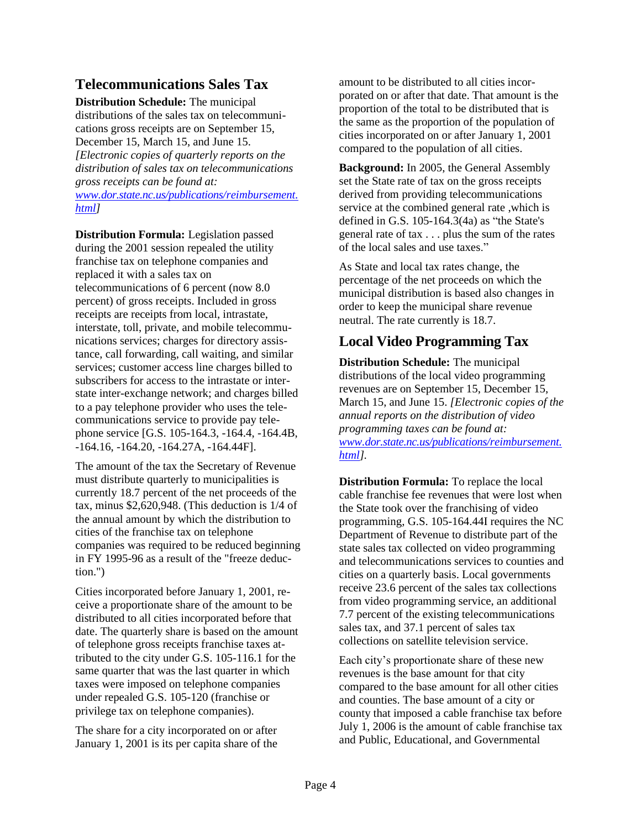## **Telecommunications Sales Tax**

**Distribution Schedule:** The municipal distributions of the sales tax on telecommunications gross receipts are on September 15, December 15, March 15, and June 15. *[Electronic copies of quarterly reports on the distribution of sales tax on telecommunications gross receipts can be found at: [www.dor.state.nc.us/publications/reimbursement.](http://www.dor.state.nc.us/publications/reimbursement.html) [html\]](http://www.dor.state.nc.us/publications/reimbursement.html)*

**Distribution Formula:** Legislation passed during the 2001 session repealed the utility franchise tax on telephone companies and replaced it with a sales tax on telecommunications of 6 percent (now 8.0 percent) of gross receipts. Included in gross receipts are receipts from local, intrastate, interstate, toll, private, and mobile telecommunications services; charges for directory assistance, call forwarding, call waiting, and similar services; customer access line charges billed to subscribers for access to the intrastate or interstate inter-exchange network; and charges billed to a pay telephone provider who uses the telecommunications service to provide pay telephone service [G.S. 105-164.3, -164.4, -164.4B, -164.16, -164.20, -164.27A, -164.44F].

The amount of the tax the Secretary of Revenue must distribute quarterly to municipalities is currently 18.7 percent of the net proceeds of the tax, minus \$2,620,948. (This deduction is 1/4 of the annual amount by which the distribution to cities of the franchise tax on telephone companies was required to be reduced beginning in FY 1995-96 as a result of the "freeze deduction.")

Cities incorporated before January 1, 2001, receive a proportionate share of the amount to be distributed to all cities incorporated before that date. The quarterly share is based on the amount of telephone gross receipts franchise taxes attributed to the city under G.S. 105-116.1 for the same quarter that was the last quarter in which taxes were imposed on telephone companies under repealed G.S. 105-120 (franchise or privilege tax on telephone companies).

The share for a city incorporated on or after January 1, 2001 is its per capita share of the amount to be distributed to all cities incorporated on or after that date. That amount is the proportion of the total to be distributed that is the same as the proportion of the population of cities incorporated on or after January 1, 2001 compared to the population of all cities.

**Background:** In 2005, the General Assembly set the State rate of tax on the gross receipts derived from providing telecommunications service at the combined general rate ,which is defined in G.S. 105-164.3(4a) as "the State's general rate of tax . . . plus the sum of the rates of the local sales and use taxes."

As State and local tax rates change, the percentage of the net proceeds on which the municipal distribution is based also changes in order to keep the municipal share revenue neutral. The rate currently is 18.7.

## **Local Video Programming Tax**

**Distribution Schedule:** The municipal distributions of the local video programming revenues are on September 15, December 15, March 15, and June 15. *[Electronic copies of the annual reports on the distribution of video programming taxes can be found at: [www.dor.state.nc.us/publications/reimbursement.](http://www.dor.state.nc.us/publications/reimbursement.html) [html\]](http://www.dor.state.nc.us/publications/reimbursement.html).*

**Distribution Formula:** To replace the local cable franchise fee revenues that were lost when the State took over the franchising of video programming, G.S. 105-164.44I requires the NC Department of Revenue to distribute part of the state sales tax collected on video programming and telecommunications services to counties and cities on a quarterly basis. Local governments receive 23.6 percent of the sales tax collections from video programming service, an additional 7.7 percent of the existing telecommunications sales tax, and 37.1 percent of sales tax collections on satellite television service.

Each city's proportionate share of these new revenues is the base amount for that city compared to the base amount for all other cities and counties. The base amount of a city or county that imposed a cable franchise tax before July 1, 2006 is the amount of cable franchise tax and Public, Educational, and Governmental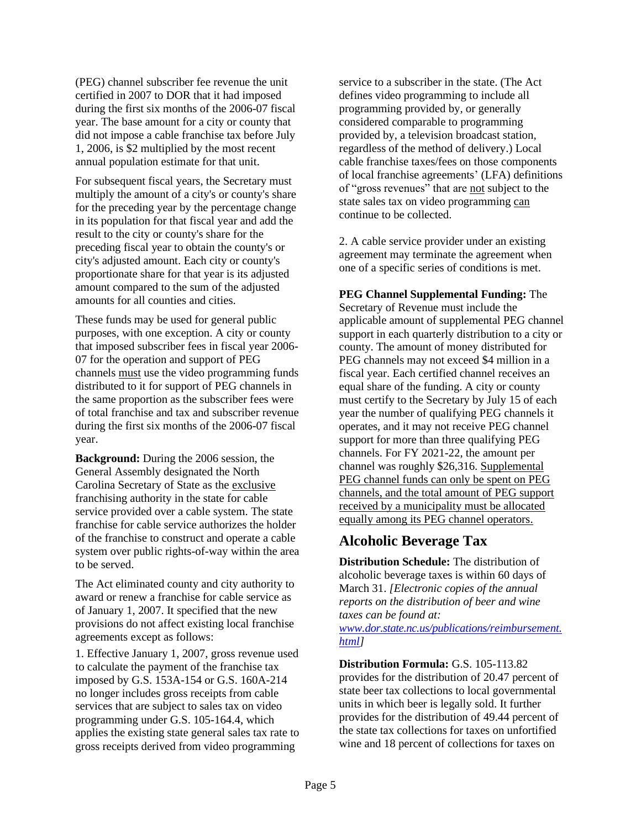(PEG) channel subscriber fee revenue the unit certified in 2007 to DOR that it had imposed during the first six months of the 2006-07 fiscal year. The base amount for a city or county that did not impose a cable franchise tax before July 1, 2006, is \$2 multiplied by the most recent annual population estimate for that unit.

For subsequent fiscal years, the Secretary must multiply the amount of a city's or county's share for the preceding year by the percentage change in its population for that fiscal year and add the result to the city or county's share for the preceding fiscal year to obtain the county's or city's adjusted amount. Each city or county's proportionate share for that year is its adjusted amount compared to the sum of the adjusted amounts for all counties and cities.

These funds may be used for general public purposes, with one exception. A city or county that imposed subscriber fees in fiscal year 2006- 07 for the operation and support of PEG channels must use the video programming funds distributed to it for support of PEG channels in the same proportion as the subscriber fees were of total franchise and tax and subscriber revenue during the first six months of the 2006-07 fiscal year.

**Background:** During the 2006 session, the General Assembly designated the North Carolina Secretary of State as the exclusive franchising authority in the state for cable service provided over a cable system. The state franchise for cable service authorizes the holder of the franchise to construct and operate a cable system over public rights-of-way within the area to be served.

The Act eliminated county and city authority to award or renew a franchise for cable service as of January 1, 2007. It specified that the new provisions do not affect existing local franchise agreements except as follows:

1. Effective January 1, 2007, gross revenue used to calculate the payment of the franchise tax imposed by G.S. 153A-154 or G.S. 160A-214 no longer includes gross receipts from cable services that are subject to sales tax on video programming under G.S. 105-164.4, which applies the existing state general sales tax rate to gross receipts derived from video programming

service to a subscriber in the state. (The Act defines video programming to include all programming provided by, or generally considered comparable to programming provided by, a television broadcast station, regardless of the method of delivery.) Local cable franchise taxes/fees on those components of local franchise agreements' (LFA) definitions of "gross revenues" that are not subject to the state sales tax on video programming can continue to be collected.

2. A cable service provider under an existing agreement may terminate the agreement when one of a specific series of conditions is met.

**PEG Channel Supplemental Funding:** The Secretary of Revenue must include the applicable amount of supplemental PEG channel support in each quarterly distribution to a city or county. The amount of money distributed for PEG channels may not exceed \$4 million in a fiscal year. Each certified channel receives an equal share of the funding. A city or county must certify to the Secretary by July 15 of each year the number of qualifying PEG channels it operates, and it may not receive PEG channel support for more than three qualifying PEG channels. For FY 2021-22, the amount per channel was roughly \$26,316. Supplemental PEG channel funds can only be spent on PEG channels, and the total amount of PEG support received by a municipality must be allocated equally among its PEG channel operators.

## **Alcoholic Beverage Tax**

**Distribution Schedule:** The distribution of alcoholic beverage taxes is within 60 days of March 31. *[Electronic copies of the annual reports on the distribution of beer and wine taxes can be found at:*

*[www.dor.state.nc.us/publications/reimbursement.](http://www.dor.state.nc.us/publications/reimbursement.html) [html\]](http://www.dor.state.nc.us/publications/reimbursement.html)*

**Distribution Formula:** G.S. 105-113.82 provides for the distribution of 20.47 percent of state beer tax collections to local governmental units in which beer is legally sold. It further provides for the distribution of 49.44 percent of the state tax collections for taxes on unfortified wine and 18 percent of collections for taxes on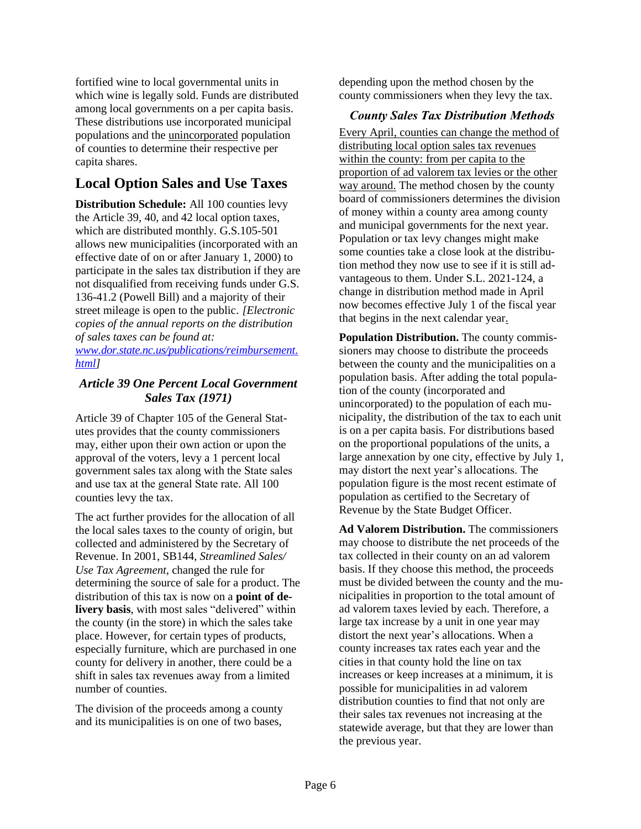fortified wine to local governmental units in which wine is legally sold. Funds are distributed among local governments on a per capita basis. These distributions use incorporated municipal populations and the unincorporated population of counties to determine their respective per capita shares.

# **Local Option Sales and Use Taxes**

**Distribution Schedule:** All 100 counties levy the Article 39, 40, and 42 local option taxes, which are distributed monthly. G.S.105-501 allows new municipalities (incorporated with an effective date of on or after January 1, 2000) to participate in the sales tax distribution if they are not disqualified from receiving funds under G.S. 136-41.2 (Powell Bill) and a majority of their street mileage is open to the public. *[Electronic copies of the annual reports on the distribution of sales taxes can be found at: [www.dor.state.nc.us/publications/reimbursement.](http://www.dor.state.nc.us/publications/reimbursement.html)*

*[html\]](http://www.dor.state.nc.us/publications/reimbursement.html)*

#### *Article 39 One Percent Local Government Sales Tax (1971)*

Article 39 of Chapter 105 of the General Statutes provides that the county commissioners may, either upon their own action or upon the approval of the voters, levy a 1 percent local government sales tax along with the State sales and use tax at the general State rate. All 100 counties levy the tax.

The act further provides for the allocation of all the local sales taxes to the county of origin, but collected and administered by the Secretary of Revenue. In 2001, SB144, *Streamlined Sales/ Use Tax Agreement*, changed the rule for determining the source of sale for a product. The distribution of this tax is now on a **point of delivery basis**, with most sales "delivered" within the county (in the store) in which the sales take place. However, for certain types of products, especially furniture, which are purchased in one county for delivery in another, there could be a shift in sales tax revenues away from a limited number of counties.

The division of the proceeds among a county and its municipalities is on one of two bases,

depending upon the method chosen by the county commissioners when they levy the tax.

#### *County Sales Tax Distribution Methods*

Every April, counties can change the method of distributing local option sales tax revenues within the county: from per capita to the proportion of ad valorem tax levies or the other way around. The method chosen by the county board of commissioners determines the division of money within a county area among county and municipal governments for the next year. Population or tax levy changes might make some counties take a close look at the distribution method they now use to see if it is still advantageous to them. Under S.L. 2021-124, a change in distribution method made in April now becomes effective July 1 of the fiscal year that begins in the next calendar year.

**Population Distribution.** The county commissioners may choose to distribute the proceeds between the county and the municipalities on a population basis. After adding the total population of the county (incorporated and unincorporated) to the population of each municipality, the distribution of the tax to each unit is on a per capita basis. For distributions based on the proportional populations of the units, a large annexation by one city, effective by July 1, may distort the next year's allocations. The population figure is the most recent estimate of population as certified to the Secretary of Revenue by the State Budget Officer.

**Ad Valorem Distribution.** The commissioners may choose to distribute the net proceeds of the tax collected in their county on an ad valorem basis. If they choose this method, the proceeds must be divided between the county and the municipalities in proportion to the total amount of ad valorem taxes levied by each. Therefore, a large tax increase by a unit in one year may distort the next year's allocations. When a county increases tax rates each year and the cities in that county hold the line on tax increases or keep increases at a minimum, it is possible for municipalities in ad valorem distribution counties to find that not only are their sales tax revenues not increasing at the statewide average, but that they are lower than the previous year.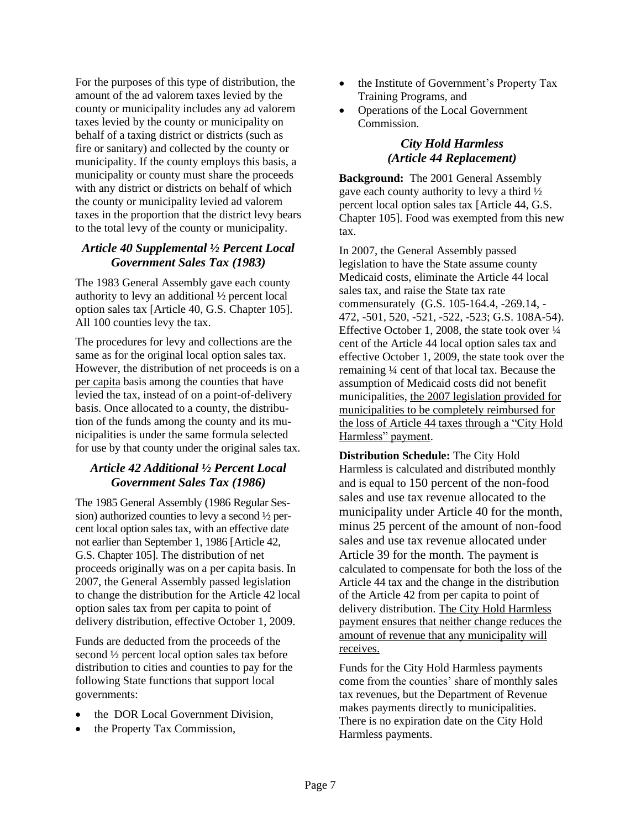For the purposes of this type of distribution, the amount of the ad valorem taxes levied by the county or municipality includes any ad valorem taxes levied by the county or municipality on behalf of a taxing district or districts (such as fire or sanitary) and collected by the county or municipality. If the county employs this basis, a municipality or county must share the proceeds with any district or districts on behalf of which the county or municipality levied ad valorem taxes in the proportion that the district levy bears to the total levy of the county or municipality.

#### *Article 40 Supplemental ½ Percent Local Government Sales Tax (1983)*

The 1983 General Assembly gave each county authority to levy an additional ½ percent local option sales tax [Article 40, G.S. Chapter 105]. All 100 counties levy the tax.

The procedures for levy and collections are the same as for the original local option sales tax. However, the distribution of net proceeds is on a per capita basis among the counties that have levied the tax, instead of on a point-of-delivery basis. Once allocated to a county, the distribution of the funds among the county and its municipalities is under the same formula selected for use by that county under the original sales tax.

### *Article 42 Additional ½ Percent Local Government Sales Tax (1986)*

The 1985 General Assembly (1986 Regular Session) authorized counties to levy a second ½ percent local option sales tax, with an effective date not earlier than September 1, 1986 [Article 42, G.S. Chapter 105]. The distribution of net proceeds originally was on a per capita basis. In 2007, the General Assembly passed legislation to change the distribution for the Article 42 local option sales tax from per capita to point of delivery distribution, effective October 1, 2009.

Funds are deducted from the proceeds of the second ½ percent local option sales tax before distribution to cities and counties to pay for the following State functions that support local governments:

- the DOR Local Government Division,
- the Property Tax Commission,
- the Institute of Government's Property Tax Training Programs, and
- Operations of the Local Government Commission.

#### *City Hold Harmless (Article 44 Replacement)*

**Background:** The 2001 General Assembly gave each county authority to levy a third ½ percent local option sales tax [Article 44, G.S. Chapter 105]. Food was exempted from this new tax.

In 2007, the General Assembly passed legislation to have the State assume county Medicaid costs, eliminate the Article 44 local sales tax, and raise the State tax rate commensurately (G.S. 105-164.4, -269.14, - 472, -501, 520, -521, -522, -523; G.S. 108A-54). Effective October 1, 2008, the state took over  $\frac{1}{4}$ cent of the Article 44 local option sales tax and effective October 1, 2009, the state took over the remaining ¼ cent of that local tax. Because the assumption of Medicaid costs did not benefit municipalities, the 2007 legislation provided for municipalities to be completely reimbursed for the loss of Article 44 taxes through a "City Hold Harmless" payment.

**Distribution Schedule:** The City Hold Harmless is calculated and distributed monthly and is equal to 150 percent of the non-food sales and use tax revenue allocated to the municipality under Article 40 for the month, minus 25 percent of the amount of non-food sales and use tax revenue allocated under Article 39 for the month. The payment is calculated to compensate for both the loss of the Article 44 tax and the change in the distribution of the Article 42 from per capita to point of delivery distribution. The City Hold Harmless payment ensures that neither change reduces the amount of revenue that any municipality will receives.

Funds for the City Hold Harmless payments come from the counties' share of monthly sales tax revenues, but the Department of Revenue makes payments directly to municipalities. There is no expiration date on the City Hold Harmless payments.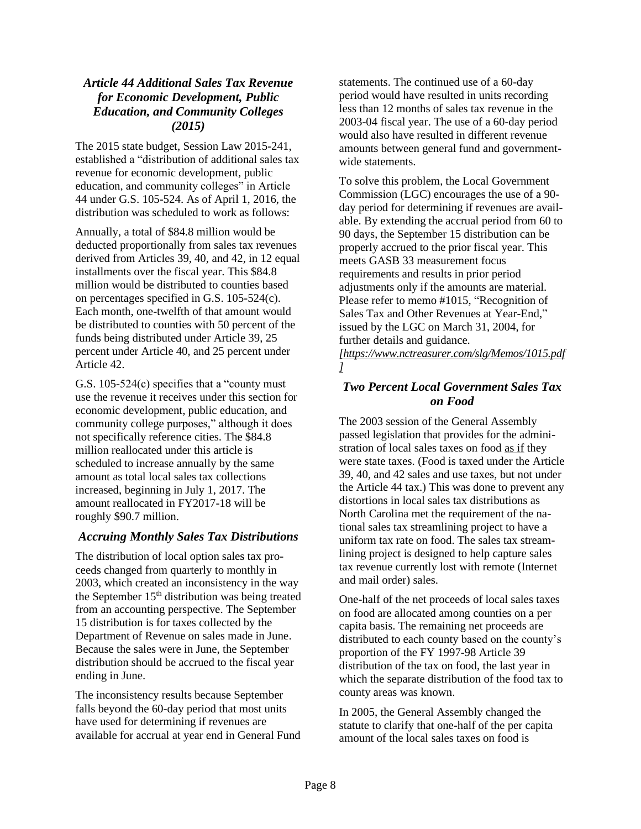#### *Article 44 Additional Sales Tax Revenue for Economic Development, Public Education, and Community Colleges (2015)*

The 2015 state budget, Session Law 2015-241, established a "distribution of additional sales tax revenue for economic development, public education, and community colleges" in Article 44 under G.S. 105-524. As of April 1, 2016, the distribution was scheduled to work as follows:

Annually, a total of \$84.8 million would be deducted proportionally from sales tax revenues derived from Articles 39, 40, and 42, in 12 equal installments over the fiscal year. This \$84.8 million would be distributed to counties based on percentages specified in G.S. 105-524(c). Each month, one-twelfth of that amount would be distributed to counties with 50 percent of the funds being distributed under Article 39, 25 percent under Article 40, and 25 percent under Article 42.

G.S. 105-524(c) specifies that a "county must use the revenue it receives under this section for economic development, public education, and community college purposes," although it does not specifically reference cities. The \$84.8 million reallocated under this article is scheduled to increase annually by the same amount as total local sales tax collections increased, beginning in July 1, 2017. The amount reallocated in FY2017-18 will be roughly \$90.7 million.

#### *Accruing Monthly Sales Tax Distributions*

The distribution of local option sales tax proceeds changed from quarterly to monthly in 2003, which created an inconsistency in the way the September  $15<sup>th</sup>$  distribution was being treated from an accounting perspective. The September 15 distribution is for taxes collected by the Department of Revenue on sales made in June. Because the sales were in June, the September distribution should be accrued to the fiscal year ending in June.

The inconsistency results because September falls beyond the 60-day period that most units have used for determining if revenues are available for accrual at year end in General Fund statements. The continued use of a 60-day period would have resulted in units recording less than 12 months of sales tax revenue in the 2003-04 fiscal year. The use of a 60-day period would also have resulted in different revenue amounts between general fund and governmentwide statements.

To solve this problem, the Local Government Commission (LGC) encourages the use of a 90 day period for determining if revenues are available. By extending the accrual period from 60 to 90 days, the September 15 distribution can be properly accrued to the prior fiscal year. This meets GASB 33 measurement focus requirements and results in prior period adjustments only if the amounts are material. Please refer to memo #1015, "Recognition of Sales Tax and Other Revenues at Year-End," issued by the LGC on March 31, 2004, for further details and guidance.

*[https://www.nctreasurer.com/slg/Memos/1015.pdf ]*

#### *Two Percent Local Government Sales Tax on Food*

The 2003 session of the General Assembly passed legislation that provides for the administration of local sales taxes on food as if they were state taxes. (Food is taxed under the Article 39, 40, and 42 sales and use taxes, but not under the Article 44 tax.) This was done to prevent any distortions in local sales tax distributions as North Carolina met the requirement of the national sales tax streamlining project to have a uniform tax rate on food. The sales tax streamlining project is designed to help capture sales tax revenue currently lost with remote (Internet and mail order) sales.

One-half of the net proceeds of local sales taxes on food are allocated among counties on a per capita basis. The remaining net proceeds are distributed to each county based on the county's proportion of the FY 1997-98 Article 39 distribution of the tax on food, the last year in which the separate distribution of the food tax to county areas was known.

In 2005, the General Assembly changed the statute to clarify that one-half of the per capita amount of the local sales taxes on food is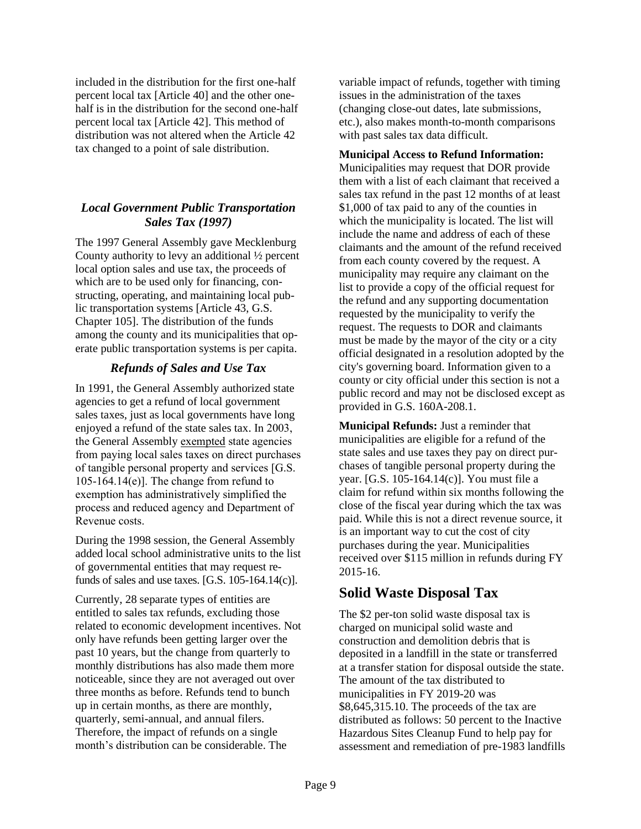included in the distribution for the first one-half percent local tax [Article 40] and the other onehalf is in the distribution for the second one-half percent local tax [Article 42]. This method of distribution was not altered when the Article 42 tax changed to a point of sale distribution.

#### *Local Government Public Transportation Sales Tax (1997)*

The 1997 General Assembly gave Mecklenburg County authority to levy an additional ½ percent local option sales and use tax, the proceeds of which are to be used only for financing, constructing, operating, and maintaining local public transportation systems [Article 43, G.S. Chapter 105]. The distribution of the funds among the county and its municipalities that operate public transportation systems is per capita.

#### *Refunds of Sales and Use Tax*

In 1991, the General Assembly authorized state agencies to get a refund of local government sales taxes, just as local governments have long enjoyed a refund of the state sales tax. In 2003, the General Assembly exempted state agencies from paying local sales taxes on direct purchases of tangible personal property and services [G.S. 105-164.14 $(e)$ ]. The change from refund to exemption has administratively simplified the process and reduced agency and Department of Revenue costs.

During the 1998 session, the General Assembly added local school administrative units to the list of governmental entities that may request refunds of sales and use taxes. [G.S. 105-164.14(c)].

Currently, 28 separate types of entities are entitled to sales tax refunds, excluding those related to economic development incentives. Not only have refunds been getting larger over the past 10 years, but the change from quarterly to monthly distributions has also made them more noticeable, since they are not averaged out over three months as before. Refunds tend to bunch up in certain months, as there are monthly, quarterly, semi-annual, and annual filers. Therefore, the impact of refunds on a single month's distribution can be considerable. The

variable impact of refunds, together with timing issues in the administration of the taxes (changing close-out dates, late submissions, etc.), also makes month-to-month comparisons with past sales tax data difficult.

#### **Municipal Access to Refund Information:**

Municipalities may request that DOR provide them with a list of each claimant that received a sales tax refund in the past 12 months of at least \$1,000 of tax paid to any of the counties in which the municipality is located. The list will include the name and address of each of these claimants and the amount of the refund received from each county covered by the request. A municipality may require any claimant on the list to provide a copy of the official request for the refund and any supporting documentation requested by the municipality to verify the request. The requests to DOR and claimants must be made by the mayor of the city or a city official designated in a resolution adopted by the city's governing board. Information given to a county or city official under this section is not a public record and may not be disclosed except as provided in G.S. 160A-208.1.

**Municipal Refunds:** Just a reminder that municipalities are eligible for a refund of the state sales and use taxes they pay on direct purchases of tangible personal property during the year. [G.S. 105-164.14(c)]. You must file a claim for refund within six months following the close of the fiscal year during which the tax was paid. While this is not a direct revenue source, it is an important way to cut the cost of city purchases during the year. Municipalities received over \$115 million in refunds during FY 2015-16.

## **Solid Waste Disposal Tax**

The \$2 per-ton solid waste disposal tax is charged on municipal solid waste and construction and demolition debris that is deposited in a landfill in the state or transferred at a transfer station for disposal outside the state. The amount of the tax distributed to municipalities in FY 2019-20 was \$8,645,315.10. The proceeds of the tax are distributed as follows: 50 percent to the Inactive Hazardous Sites Cleanup Fund to help pay for assessment and remediation of pre-1983 landfills